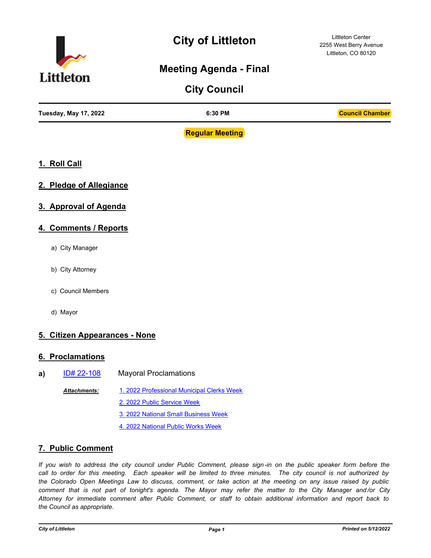

# **City of Littleton**

Littleton Center 2255 West Berry Avenue Littleton, CO 80120

# **Meeting Agenda - Final**

| <b>Council Chamber</b><br>Tuesday, May 17, 2022<br>6:30 PM |  |
|------------------------------------------------------------|--|

**Regular Meeting**

- **1. Roll Call**
- **2. Pledge of Allegiance**
- **3. Approval of Agenda**
- **4. Comments / Reports**
	- a) City Manager
	- b) City Attorney
	- c) Council Members
	- d) Mayor

## **5. Citizen Appearances - None**

#### **6. Proclamations**

**a)** [ID# 22-108](http://littletongov.legistar.com/gateway.aspx?m=l&id=/matter.aspx?key=5291) Mayoral Proclamations [1. 2022 Professional Municipal Clerks Week](http://littletongov.legistar.com/gateway.aspx?M=F&ID=285aefa2-f33d-4c17-a150-9cc2a8a55eae.pdf) [2. 2022 Public Service Week](http://littletongov.legistar.com/gateway.aspx?M=F&ID=6c51ea58-3799-41dd-ace3-a23658784d6a.pdf) [3. 2022 National Small Business Week](http://littletongov.legistar.com/gateway.aspx?M=F&ID=c221375f-058f-42c4-a2e2-7e6da91ec6f6.pdf) [4. 2022 National Public Works Week](http://littletongov.legistar.com/gateway.aspx?M=F&ID=74a85fed-fa96-4296-a95e-be537b1b25be.pdf) *Attachments:*

#### **7. Public Comment**

*If you wish to address the city council under Public Comment, please sign-in on the public speaker form before the call to order for this meeting. Each speaker will be limited to three minutes. The city council is not authorized by the Colorado Open Meetings Law to discuss, comment, or take action at the meeting on any issue raised by public comment that is not part of tonight's agenda. The Mayor may refer the matter to the City Manager and /or City Attorney for immediate comment after Public Comment, or staff to obtain additional information and report back to the Council as appropriate.*